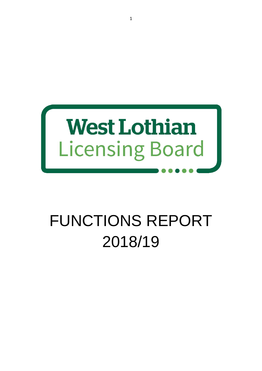

# FUNCTIONS REPORT 2018/19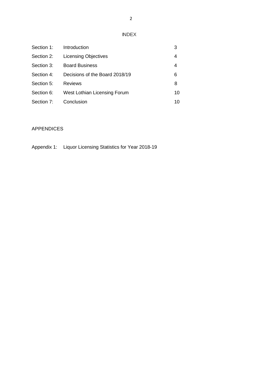INDEX

| Section 1: | Introduction                   | 3  |
|------------|--------------------------------|----|
| Section 2: | <b>Licensing Objectives</b>    | 4  |
| Section 3: | <b>Board Business</b>          | 4  |
| Section 4: | Decisions of the Board 2018/19 | 6  |
| Section 5: | <b>Reviews</b>                 | 8  |
| Section 6: | West Lothian Licensing Forum   | 10 |
| Section 7: | Conclusion                     | 10 |

# APPENDICES

Appendix 1: Liquor Licensing Statistics for Year 2018-19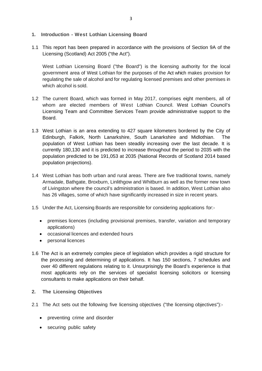- **1. Introduction - West Lothian Licensing Board**
- 1.1 This report has been prepared in accordance with the provisions of Section 9A of the Licensing (Scotland) Act 2005 ("the Act").

West Lothian Licensing Board ("the Board") is the licensing authority for the local government area of West Lothian for the purposes of the Act which makes provision for regulating the sale of alcohol and for regulating licensed premises and other premises in which alcohol is sold.

- 1.2 The current Board, which was formed in May 2017, comprises eight members, all of whom are elected members of West Lothian Council. West Lothian Council's Licensing Team and Committee Services Team provide administrative support to the Board.
- 1.3 West Lothian is an area extending to 427 square kilometers bordered by the City of Edinburgh, Falkirk, North Lanarkshire, South Lanarkshire and Midlothian. The population of West Lothian has been steadily increasing over the last decade. It is currently 180,130 and it is predicted to increase throughout the period to 2035 with the population predicted to be 191,053 at 2035 (National Records of Scotland 2014 based population projections).
- 1.4 West Lothian has both urban and rural areas. There are five traditional towns, namely Armadale, Bathgate, Broxburn, Linlithgow and Whitburn as well as the former new town of Livingston where the council's administration is based. In addition, West Lothian also has 26 villages, some of which have significantly increased in size in recent years.
- 1.5 Under the Act, Licensing Boards are responsible for considering applications for:-
	- premises licences (including provisional premises, transfer, variation and temporary applications)
	- occasional licences and extended hours
	- personal licences
- 1.6 The Act is an extremely complex piece of legislation which provides a rigid structure for the processing and determining of applications. It has 150 sections, 7 schedules and over 40 different regulations relating to it. Unsurprisingly the Board's experience is that most applicants rely on the services of specialist licensing solicitors or licensing consultants to make applications on their behalf.
- **2. The Licensing Objectives**
- 2.1 The Act sets out the following five licensing objectives ("the licensing objectives"):-
	- preventing crime and disorder
	- securing public safety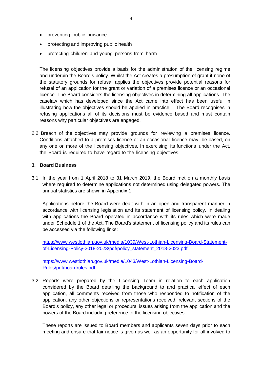- preventing public nuisance
- protecting and improving public health
- protecting children and young persons from harm

The licensing objectives provide a basis for the administration of the licensing regime and underpin the Board's policy. Whilst the Act creates a presumption of grant if none of the statutory grounds for refusal applies the objectives provide potential reasons for refusal of an application for the grant or variation of a premises licence or an occasional licence. The Board considers the licensing objectives in determining all applications. The caselaw which has developed since the Act came into effect has been useful in illustrating how the objectives should be applied in practice. The Board recognises in refusing applications all of its decisions must be evidence based and must contain reasons why particular objectives are engaged.

2.2 Breach of the objectives may provide grounds for reviewing a premises licence. Conditions attached to a premises licence or an occasional licence may, be based, on any one or more of the licensing objectives. In exercising its functions under the Act, the Board is required to have regard to the licensing objectives.

#### **3. Board Business**

3.1 In the year from 1 April 2018 to 31 March 2019, the Board met on a monthly basis where required to determine applications not determined using delegated powers. The annual statistics are shown in Appendix 1.

Applications before the Board were dealt with in an open and transparent manner in accordance with licensing legislation and its statement of licensing policy. In dealing with applications the Board operated in accordance with its rules which were made under Schedule 1 of the Act. The Board's statement of licensing policy and its rules can be accessed via the following links:

[https://www.westlothian.gov.uk/media/1039/West-Lothian-Licensing-Board-Statement](https://www.westlothian.gov.uk/media/1039/West-Lothian-Licensing-Board-Statement-of-Licensing-Policy-2018-2023/pdf/policy_statement_2018-2023.pdf)[of-Licensing-Policy-2018-2023/pdf/policy\\_statement\\_2018-2023.pdf](https://www.westlothian.gov.uk/media/1039/West-Lothian-Licensing-Board-Statement-of-Licensing-Policy-2018-2023/pdf/policy_statement_2018-2023.pdf)

[https://www.westlothian.gov.uk/media/1043/West-Lothian-Licensing-Board-](https://www.westlothian.gov.uk/media/1043/West-Lothian-Licensing-Board-Rules/pdf/boardrules.pdf)[Rules/pdf/boardrules.pdf](https://www.westlothian.gov.uk/media/1043/West-Lothian-Licensing-Board-Rules/pdf/boardrules.pdf)

3.2 Reports were prepared by the Licensing Team in relation to each application considered by the Board detailing the background to and practical effect of each application, all comments received from those who responded to notification of the application, any other objections or representations received, relevant sections of the Board's policy, any other legal or procedural issues arising from the application and the powers of the Board including reference to the licensing objectives.

These reports are issued to Board members and applicants seven days prior to each meeting and ensure that fair notice is given as well as an opportunity for all involved to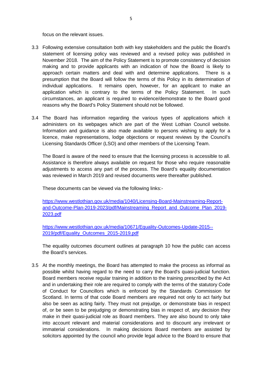focus on the relevant issues.

- 3.3 Following extensive consultation both with key stakeholders and the public the Board's statement of licensing policy was reviewed and a revised policy was published in November 2018. The aim of the Policy Statement is to promote consistency of decision making and to provide applicants with an indication of how the Board is likely to approach certain matters and deal with and determine applications. There is a presumption that the Board will follow the terms of this Policy in its determination of individual applications. It remains open, however, for an applicant to make an application which is contrary to the terms of the Policy Statement. In such circumstances, an applicant is required to evidence/demonstrate to the Board good reasons why the Board's Policy Statement should not be followed.
- 3.4 The Board has information regarding the various types of applications which it administers on its webpages which are part of the West Lothian Council website. Information and guidance is also made available to persons wishing to apply for a licence, make representations, lodge objections or request reviews by the Council's Licensing Standards Officer (LSO) and other members of the Licensing Team.

The Board is aware of the need to ensure that the licensing process is accessible to all. Assistance is therefore always available on request for those who require reasonable adjustments to access any part of the process. The Board's equality documentation was reviewed in March 2019 and revised documents were thereafter published.

These documents can be viewed via the following links:-

[https://www.westlothian.gov.uk/media/1040/Licensing-Board-Mainstreaming-Report](https://www.westlothian.gov.uk/media/1040/Licensing-Board-Mainstreaming-Report-and-Outcome-Plan-2019-2023/pdf/Mainstreaming_Report_and_Outcome_Plan_2019-2023.pdf)[and-Outcome-Plan-2019-2023/pdf/Mainstreaming\\_Report\\_and\\_Outcome\\_Plan\\_2019-](https://www.westlothian.gov.uk/media/1040/Licensing-Board-Mainstreaming-Report-and-Outcome-Plan-2019-2023/pdf/Mainstreaming_Report_and_Outcome_Plan_2019-2023.pdf) [2023.pdf](https://www.westlothian.gov.uk/media/1040/Licensing-Board-Mainstreaming-Report-and-Outcome-Plan-2019-2023/pdf/Mainstreaming_Report_and_Outcome_Plan_2019-2023.pdf)

[https://www.westlothian.gov.uk/media/10671/Equality-Outcomes-Update-2015--](https://www.westlothian.gov.uk/media/10671/Equality-Outcomes-Update-2015--2019/pdf/Equality_Outcomes_2015-2019.pdf) [2019/pdf/Equality\\_Outcomes\\_2015-2019.pdf](https://www.westlothian.gov.uk/media/10671/Equality-Outcomes-Update-2015--2019/pdf/Equality_Outcomes_2015-2019.pdf)

The equality outcomes document outlines at paragraph 10 how the public can access the Board's services.

3.5 At the monthly meetings, the Board has attempted to make the process as informal as possible whilst having regard to the need to carry the Board's quasi-judicial function. Board members receive regular training in addition to the training prescribed by the Act and in undertaking their role are required to comply with the terms of the statutory Code of Conduct for Councillors which is enforced by the Standards Commission for Scotland. In terms of that code Board members are required not only to act fairly but also be seen as acting fairly. They must not prejudge, or demonstrate bias in respect of, or be seen to be prejudging or demonstrating bias in respect of, any decision they make in their quasi-judicial role as Board members. They are also bound to only take into account relevant and material considerations and to discount any irrelevant or immaterial considerations. In making decisions Board members are assisted by solicitors appointed by the council who provide legal advice to the Board to ensure that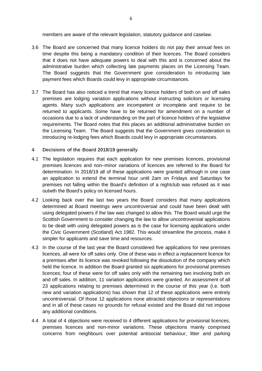members are aware of the relevant legislation, statutory guidance and caselaw.

- 3.6 The Board are concerned that many licence holders do not pay their annual fees on time despite this being a mandatory condition of their licences. The Board considers that it does not have adequate powers to deal with this and is concerned about the administrative burden which collecting late payments places on the Licensing Team. The Board suggests that the Government give consideration to introducing late payment fees which Boards could levy in appropriate circumstances.
- 3.7 The Board has also noticed a trend that many licence holders of both on and off sales premises are lodging variation applications without instructing solicitors or licensing agents. Many such applications are incompetent or incomplete and require to be returned to applicants. Some have to be returned for amendment on a number of occasions due to a lack of understanding on the part of licence holders of the legislative requirements. The Board notes that this places an additional administrative burden on the Licensing Team. The Board suggests that the Government gives consideration to introducing re-lodging fees which Boards could levy in appropriate circumstances.

#### **4 Decisions of the Board 2018/19 generally**

- 4.1 The legislation requires that each application for new premises licences, provisional premises licences and non–minor variations of licences are referred to the Board for determination. In 2018/19 all of these applications were granted although in one case an application to extend the terminal hour until 2am on Fridays and Saturdays for premises not falling within the Board's definition of a nightclub was refused as it was outwth the Board's policy on licensed hours.
- 4.2 Looking back over the last two years the Board considers that many applications determined at Board meetings were uncontroversial and could have been dealt with using delegated powers if the law was changed to allow this. The Board would urge the Scottish Government to consider changing the law to allow uncontroversial applications to be dealt with using delegated powers as is the case for licensing applications under the Civic Government (Scotland) Act 1982. This would streamline the process, make it simpler for applicants and save time and resources.
- 4.3 In the course of the last year the Board considered five applications for new premises licences, all were for off sales only. One of these was in effect a replacement licence for a premises after its licence was revoked following the dissolution of the company which held the licence. In addition the Board granted six applications for provisional premises licences; four of these were for off sales only with the remaining two involving both on and off sales. In addition, 11 variation applications were granted. An assessment of all 23 applications relating to premises determined in the course of this year (i.e. both new and variation applications) has shown that 12 of these applications were entirely uncontroversial. Of those 12 applications none attracted objections or representations and in all of these cases no grounds for refusal existed and the Board did not impose any additional conditions.
- 4.4 A total of 4 objections were received to 4 different applications for provisional licences, premises licences and non-minor variations. These objections mainly comprised concerns from neighbours over potential antisocial behaviour, litter and parking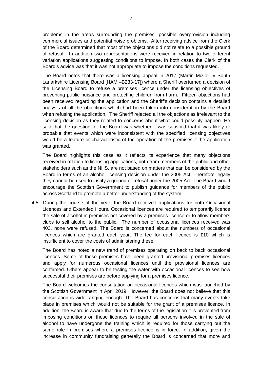problems in the areas surrounding the premises, possible overprovision including commercial issues and potential noise problems. After receiving advice from the Clerk of the Board determined that most of the objections did not relate to a possible ground of refusal. In addition two representations were received in relation to two different variation applications suggesting conditions to impose. In both cases the Clerk of the Board's advice was that it was not appropriate to impose the conditions requested.

The Board notes that there was a licensing appeal in 2017 (Martin McColl v South Lanarkshire Licensing Board [HAM –B233-17]) where a Sheriff overturned a decision of the Licensing Board to refuse a premises licence under the licensing objectives of preventing public nuisance and protecting children from harm. Fifteen objections had been received regarding the application and the Sheriff's decision contains a detailed analysis of all the objections which had been taken into consideration by the Board when refusing the application. The Sheriff rejected all the objections as irrelevant to the licensing decision as they related to concerns about what could possibly happen. He said that the question for the Board was whether it was satisfied that it was likely or probable that events which were inconsistent with the specified licensing objectives would be a feature or characteristic of the operation of the premises if the application was granted.

The Board highlights this case as it reflects its experience that many objections received in relation to licensing applications, both from members of the public and other stakeholders such as the NHS, are not based on matters that can be considered by the Board in terms of an alcohol licensing decision under the 2005 Act. Therefore legally they cannot be used to justify a ground of refusal under the 2005 Act. The Board would encourage the Scottish Government to publish guidance for members of the public across Scotland to promote a better understanding of the system.

4.5 During the course of the year, the Board received applications for both Occasional Licences and Extended Hours. Occasional licences are required to temporarily licence the sale of alcohol in premises not covered by a premises licence or to allow members clubs to sell alcohol to the public. The number of occasional licences received was 403, none were refused. The Board is concerned about the numbers of occasional licences which are granted each year. The fee for each licence is £10 which is insufficient to cover the costs of administering these.

The Board has noted a new trend of premises operating on back to back occasional licences. Some of these premises have been granted provisional premises licences and apply for numerous occasional licences until the provisional licences are confirmed. Others appear to be testing the water with occasional licences to see how successful their premises are before applying for a premises licence.

The Board welcomes the consultation on occasional licences which was launched by the Scottish Government in April 2019. However, the Board does not believe that this consultation is wide ranging enough. The Board has concerns that many events take place in premises which would not be suitable for the grant of a premises licence. In addition, the Board is aware that due to the terms of the legislation it is prevented from imposing conditions on these licences to require all persons involved in the sale of alcohol to have undergone the training which is required for those carrying out the same role in premises where a premises licence is in force. In addition, given the increase in community fundraising generally the Board is concerned that more and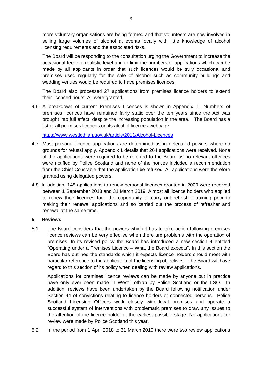more voluntary organisations are being formed and that volunteers are now involved in selling large volumes of alcohol at events locally with little knowledge of alcohol licensing requirements and the associated risks.

The Board will be responding to the consultation urging the Government to increase the occasional fee to a realistic level and to limit the numbers of applications which can be made by all applicants in order that such licences would be truly occasional and premises used regularly for the sale of alcohol such as community buildings and wedding venues would be required to have premises licences.

The Board also processed 27 applications from premises licence holders to extend their licensed hours. All were granted.

4.6 A breakdown of current Premises Licences is shown in Appendix 1. Numbers of premises licences have remained fairly static over the ten years since the Act was brought into full effect, despite the increasing population in the area. The Board has a list of all premises licences on its alcohol licences webpage

<https://www.westlothian.gov.uk/article/2011/Alcohol-Licences>

- 4.7 Most personal licence applications are determined using delegated powers where no grounds for refusal apply. Appendix 1 details that 264 applications were received. None of the applications were required to be referred to the Board as no relevant offences were notified by Police Scotland and none of the notices included a recommendation from the Chief Constable that the application be refused. All applications were therefore granted using delegated powers.
- 4.8 In addition, 148 applications to renew personal licences granted in 2009 were received between 1 September 2018 and 31 March 2019. Almost all licence holders who applied to renew their licences took the opportunity to carry out refresher training prior to making their renewal applications and so carried out the process of refresher and renewal at the same time.

#### **5 Reviews**

5.1 The Board considers that the powers which it has to take action following premises licence reviews can be very effective when there are problems with the operation of premises. In its revised policy the Board has introduced a new section 4 entitled "Operating under a Premises Licence – What the Board expects". In this section the Board has outlined the standards which it expects licence holders should meet with particular reference to the application of the licensing objectives. The Board will have regard to this section of its policy when dealing with review applications.

Applications for premises licence reviews can be made by anyone but in practice have only ever been made in West Lothian by Police Scotland or the LSO. In addition, reviews have been undertaken by the Board following notification under Section 44 of convictions relating to licence holders or connected persons. Police Scotland Licensing Officers work closely with local premises and operate a successful system of interventions with problematic premises to draw any issues to the attention of the licence holder at the earliest possible stage. No applications for review were made by Police Scotland this year.

5.2 In the period from 1 April 2018 to 31 March 2019 there were two review applications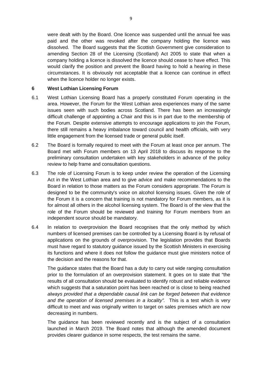were dealt with by the Board. One licence was suspended until the annual fee was paid and the other was revoked after the company holding the licence was dissolved. The Board suggests that the Scottish Government give consideration to amending Section 28 of the Licensing (Scotland) Act 2005 to state that when a company holding a licence is dissolved the licence should cease to have effect. This would clarify the position and prevent the Board having to hold a hearing in these circumstances. It is obviously not acceptable that a licence can continue in effect when the licence holder no longer exists.

#### **6 West Lothian Licensing Forum**

- 6.1 West Lothian Licensing Board has a properly constituted Forum operating in the area. However, the Forum for the West Lothian area experiences many of the same issues seen with such bodies across Scotland. There has been an increasingly difficult challenge of appointing a Chair and this is in part due to the membership of the Forum. Despite extensive attempts to encourage applications to join the Forum, there still remains a heavy imbalance toward council and health officials, with very little engagement from the licensed trade or general public itself.
- 6.2 The Board is formally required to meet with the Forum at least once per annum. The Board met with Forum members on 13 April 2018 to discuss its response to the preliminary consultation undertaken with key stakeholders in advance of the policy review to help frame and consultation questions.
- 6.3 The role of Licensing Forum is to keep under review the operation of the Licensing Act in the West Lothian area and to give advice and make recommendations to the Board in relation to those matters as the Forum considers appropriate. The Forum is designed to be the community's voice on alcohol licensing issues. Given the role of the Forum it is a concern that training is not mandatory for Forum members, as it is for almost all others in the alcohol licensing system. The Board is of the view that the role of the Forum should be reviewed and training for Forum members from an independent source should be mandatory.
- 6.4 In relation to overprovision the Board recognises that the only method by which numbers of licensed premises can be controlled by a Licensing Board is by refusal of applications on the grounds of overprovision. The legislation provides that Boards must have regard to statutory guidance issued by the Scottish Ministers in exercising its functions and where it does not follow the guidance must give ministers notice of the decision and the reasons for that.

The guidance states that the Board has a duty to carry out wide ranging consultation prior to the formulation of an overprovision statement. It goes on to state that "the results of all consultation should be evaluated to identify robust and reliable evidence which suggests that a saturation point has been reached or is close to being reached *always provided that a dependable causal link can be forged between that evidence*  and the operation of licensed premises in a locality". This is a test which is very difficult to meet and was originally written to target on sales premises which are now decreasing in numbers.

The guidance has been reviewed recently and is the subject of a consultation launched in March 2019. The Board notes that although the amended document provides clearer guidance in some respects, the test remains the same.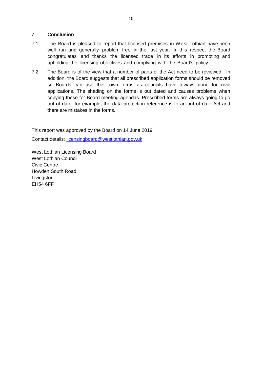### **7 Conclusion**

- 7.1 The Board is pleased to report that licensed premises in West Lothian have been well run and generally problem free in the last year. In this respect the Board congratulates and thanks the licensed trade in its efforts in promoting and upholding the licensing objectives and complying with the Board's policy.
- 7.2 The Board is of the view that a number of parts of the Act need to be reviewed. In addition, the Board suggests that all prescribed application forms should be removed so Boards can use their own forms as councils have always done for civic applications. The shading on the forms is out dated and causes problems when copying these for Board meeting agendas. Prescribed forms are always going to go out of date, for example, the data protection reference is to an out of date Act and there are mistakes in the forms.

This report was approved by the Board on 14 June 2019.

Contact details: [licensingboard@westlothian.gov.uk](mailto:licensingboard@westlothian.gov.uk)

West Lothian Licensing Board West Lothian Council Civic Centre Howden South Road **Livingston** EH54 6FF